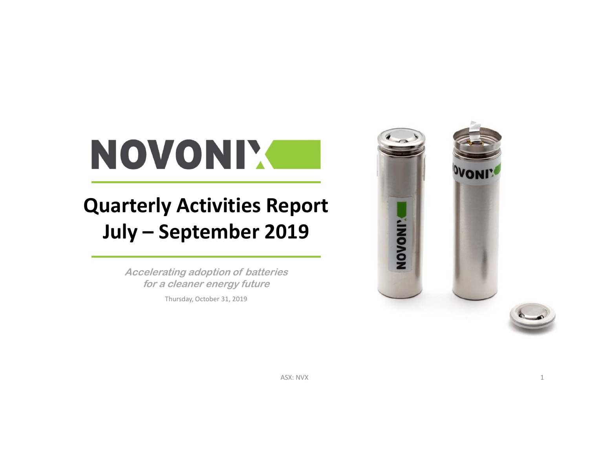# NOVONIX

## **Quarterly Activities Report July – September 2019**

**Accelerating adoption of batteries for a cleaner energy future**

Thursday, October 31, 2019



ASX: NVX : NVX  $1$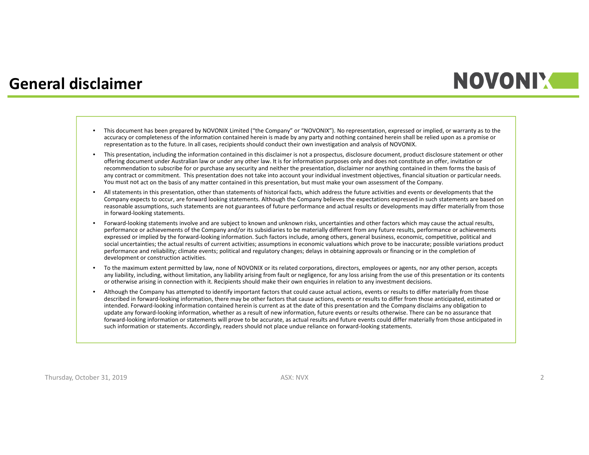### **General disclaimer**

### **NOVONIM**

- This document has been prepared by NOVONIX Limited ("the Company" or "NOVONIX"). No representation, expressed or implied, or warranty as to the accuracy or completeness of the information contained herein is made by any party and nothing contained herein shall be relied upon as <sup>a</sup> promise or representation as to the future. In all cases, recipients should conduct their own investigation and analysis of NOVONIX.
- • This presentation, including the information contained in this disclaimer is not <sup>a</sup> prospectus, disclosure document, product disclosure statement or other offering document under Australian law or under any other law. It is for information purposes only and does not constitute an offer, invitation or recommendation to subscribe for or purchase any security and neither the presentation, disclaimer nor anything contained in them forms the basis of any contract or commitment. This presentation does not take into account your individual investment objectives, financial situation or particular needs. You must not act on the basis of any matter contained in this presentation, but must make your own assessment of the Company.
- • All statements in this presentation, other than statements of historical facts, which address the future activities and events or developments that the Company expects to occur, are forward looking statements. Although the Company believes the expectations expressed in such statements are based on reasonable assumptions, such statements are not guarantees of future performance and actual results or developments may differ materially from those in forward‐looking statements.
- •Forward-looking statements involve and are subject to known and unknown risks, uncertainties and other factors which may cause the actual results, performance or achievements of the Company and/or its subsidiaries to be materially different from any future results, performance or achievements expressed or implied by the forward‐looking information. Such factors include, among others, general business, economic, competitive, political and social uncertainties; the actual results of current activities; assumptions in economic valuations which prove to be inaccurate; possible variations product performance and reliability; climate events; political and regulatory changes; delays in obtaining approvals or financing or in the completion of development or construction activities.
- • To the maximum extent permitted by law, none of NOVONIX or its related corporations, directors, employees or agents, nor any other person, accepts any liability, including, without limitation, any liability arising from fault or negligence, for any loss arising from the use of this presentation or its contents or otherwise arising in connection with it. Recipients should make their own enquiries in relation to any investment decisions.
- • Although the Company has attempted to identify important factors that could cause actual actions, events or results to differ materially from those described in forward‐looking information, there may be other factors that cause actions, events or results to differ from those anticipated, estimated or intended. Forward‐looking information contained herein is current as at the date of this presentation and the Company disclaims any obligation to update any forward‐looking information, whether as <sup>a</sup> result of new information, future events or results otherwise. There can be no assurance that forward-looking information or statements will prove to be accurate, as actual results and future events could differ materially from those anticipated in such information or statements. Accordingly, readers should not place undue reliance on forward‐looking statements.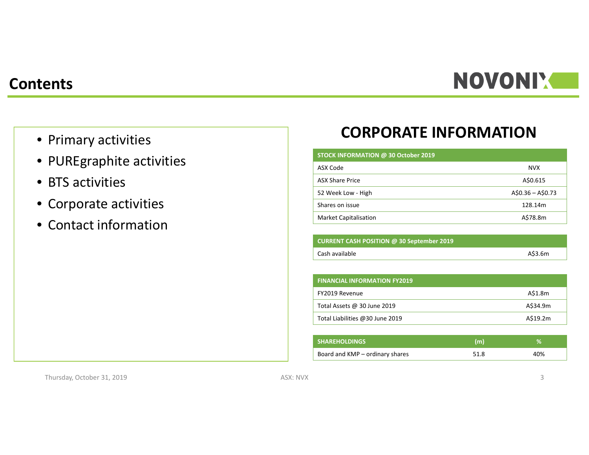## **NOVONI'S**

#### **Contents**

- Primary activities
- PUREgraphite activities
- BTS activities
- Corporate activities
- Contact information

### **CORPORATE INFORMATION**

#### **STOCK INFORMATION @ 30 October 2019**

| ASX Code                     | <b>NVX</b>        |
|------------------------------|-------------------|
| <b>ASX Share Price</b>       | A\$0.615          |
| 52 Week Low - High           | $A$0.36 - A$0.73$ |
| Shares on issue              | 128.14m           |
| <b>Market Capitalisation</b> | A\$78.8m          |

| <b>CURRENT CASH POSITION @ 30 September 2019</b> |         |
|--------------------------------------------------|---------|
| Cash available                                   | A\$3.6m |

| <b>FINANCIAL INFORMATION FY2019</b> |          |
|-------------------------------------|----------|
| FY2019 Revenue                      | A\$1.8m  |
| Total Assets @ 30 June 2019         | A\$34.9m |
| Total Liabilities @30 June 2019     | A\$19.2m |

| <b>SHAREHOLDINGS</b> '          | (m)  | 0/  |
|---------------------------------|------|-----|
| Board and KMP – ordinary shares | 51.8 | 40% |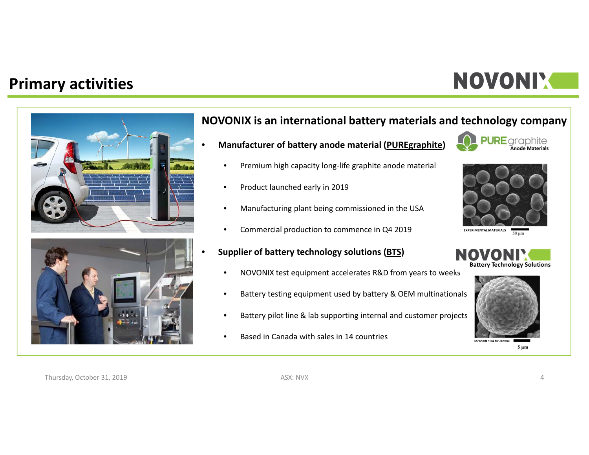### **Primary activities**

## NOVONIX



#### **NOVONIX is an international battery materials and technology company**

•**Manufacturer of battery anode material (PUREgraphite)**

Product launched early in 2019

● Premium high capacity long-life graphite anode material

Manufacturing plant being commissioned in the USA

Commercial production to commence in Q4 2019

•

•

•

•

•

**PURE** graphite



**EXPERIMENTAL MATERIALS** $50 \mu m$ 

#### **Supplier of battery technology solutions (BTS)**

- •NOVONIX test equipment accelerates R&D from years to weeks
- •Battery testing equipment used by battery & OEM multinationals
- •Battery pilot line & lab supporting internal and customer projects
- •**• Based in Canada with sales in 14 countries**





**EXPERIMENTAL MATERIALS** $5 \mu m$ 

Thursday, October 31, 2019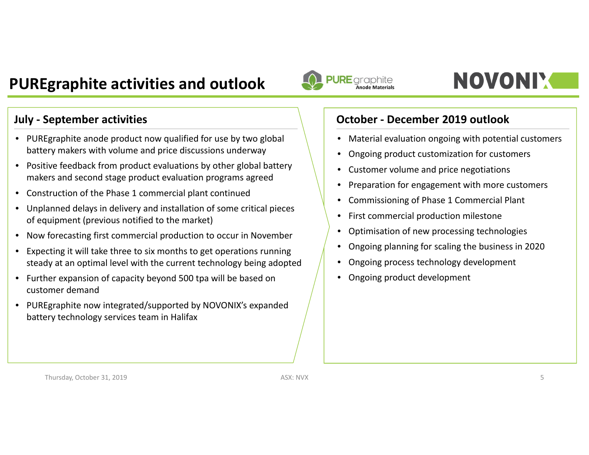### **PUREgraphite activities and outlook**

- PUREgraphite anode product now qualified for use by two global battery makers with volume and price discussions underway
- Positive feedback from product evaluations by other global battery makers and second stage product evaluation programs agreed
- Construction of the Phase 1 commercial plant continued
- Unplanned delays in delivery and installation of some critical pieces of equipment (previous notified to the market)
- Now forecasting first commercial production to occur in November
- $\bullet$  Expecting it will take three to six months to get operations running steady at an optimal level with the current technology being adopted
- Further expansion of capacity beyond 500 tpa will be based on customer demand
- PUREgraphite now integrated/supported by NOVONIX's expanded battery technology services team in Halifax



## **NOVONIY**

#### **July ‐ September activities October ‐ December 2019 outlook**

- Material evaluation ongoing with potential customers
- $\bullet$ Ongoing product customization for customers
- $\bullet$ Customer volume and price negotiations
- $\bullet$ Preparation for engagement with more customers
- $\bullet$ Commissioning of Phase 1 Commercial Plant
- First commercial production milestone
- Optimisation of new processing technologies
- Ongoing planning for scaling the business in 2020
- $\bullet$ Ongoing process technology development
- •Ongoing product development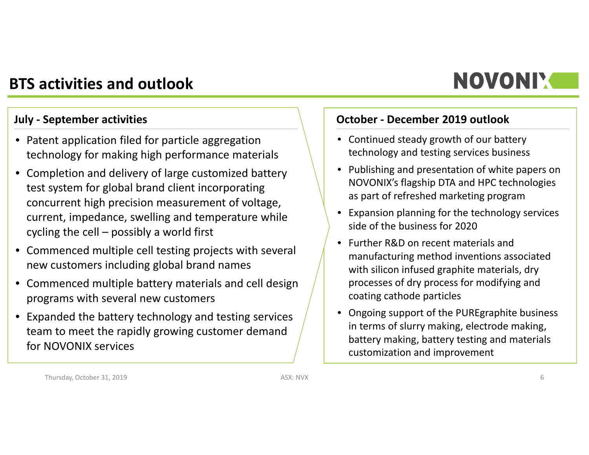### **BTS activities and outlook**

- Patent application filed for particle aggregation technology for making high performance materials
- Completion and delivery of large customized battery test system for global brand client incorporating concurrent high precision measurement of voltage, current, impedance, swelling and temperature while cycling the cell – possibly <sup>a</sup> world first
- Commenced multiple cell testing projects with several new customers including global brand names
- Commenced multiple battery materials and cell design programs with several new customers
- Expanded the battery technology and testing services team to meet the rapidly growing customer demand for NOVONIX services

#### **July ‐ September activities October ‐ December 2019 outlook**

- Continued steady growth of our battery technology and testing services business
- Publishing and presentation of white papers on NOVONIX's flagship DTA and HPC technologies as part of refreshed marketing program

**NOVONIY** 

- Expansion planning for the technology services side of the business for 2020
- Further R&D on recent materials and manufacturing method inventions associated with silicon infused graphite materials, dry processes of dry process for modifying and coating cathode particles
- Ongoing support of the PUREgraphite business in terms of slurry making, electrode making, battery making, battery testing and materials customization and improvement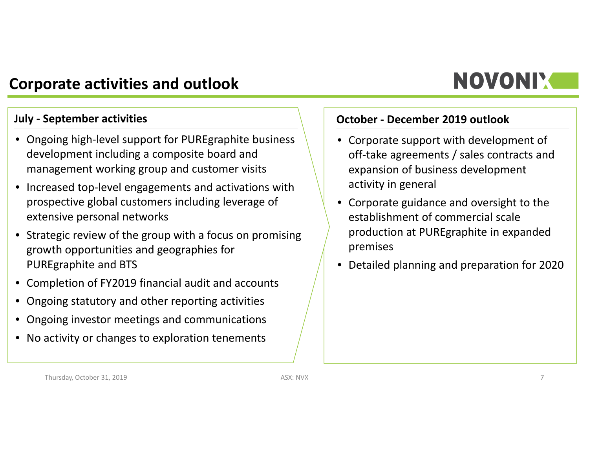### **Corporate activities and outlook**

## **NOVONIX**

- Ongoing high‐level support for PUREgraphite business development including <sup>a</sup> composite board and management working group and customer visits
- Increased top‐level engagements and activations with prospective global customers including leverage of extensive personal networks
- Strategic review of the group with <sup>a</sup> focus on promising growth opportunities and geographies for PUREgraphite and BTS
- Completion of FY2019 financial audit and accounts
- Ongoing statutory and other reporting activities
- Ongoing investor meetings and communications
- No activity or changes to exploration tenements

#### **July ‐ September activities October ‐ December 2019 outlook**

- Corporate support with development of off‐take agreements / sales contracts and expansion of business development activity in general
- Corporate guidance and oversight to the establishment of commercial scaleproduction at PUREgraphite in expanded premises
- Detailed planning and preparation for 2020